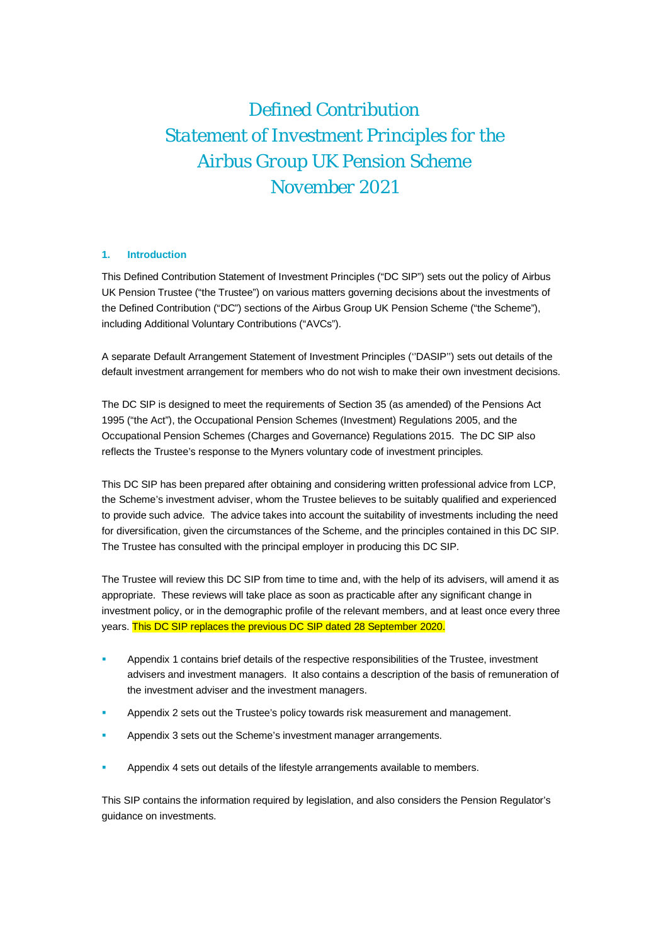# *Defined Contribution Statement of Investment Principles for the Airbus Group UK Pension Scheme November 2021*

### **1. Introduction**

This Defined Contribution Statement of Investment Principles ("DC SIP") sets out the policy of Airbus UK Pension Trustee ("the Trustee") on various matters governing decisions about the investments of the Defined Contribution ("DC") sections of the Airbus Group UK Pension Scheme ("the Scheme"), including Additional Voluntary Contributions ("AVCs").

A separate Default Arrangement Statement of Investment Principles (''DASIP'') sets out details of the default investment arrangement for members who do not wish to make their own investment decisions.

The DC SIP is designed to meet the requirements of Section 35 (as amended) of the Pensions Act 1995 ("the Act"), the Occupational Pension Schemes (Investment) Regulations 2005, and the Occupational Pension Schemes (Charges and Governance) Regulations 2015. The DC SIP also reflects the Trustee's response to the Myners voluntary code of investment principles.

This DC SIP has been prepared after obtaining and considering written professional advice from LCP, the Scheme's investment adviser, whom the Trustee believes to be suitably qualified and experienced to provide such advice. The advice takes into account the suitability of investments including the need for diversification, given the circumstances of the Scheme, and the principles contained in this DC SIP. The Trustee has consulted with the principal employer in producing this DC SIP.

The Trustee will review this DC SIP from time to time and, with the help of its advisers, will amend it as appropriate. These reviews will take place as soon as practicable after any significant change in investment policy, or in the demographic profile of the relevant members, and at least once every three years. This DC SIP replaces the previous DC SIP dated 28 September 2020.

- Appendix 1 contains brief details of the respective responsibilities of the Trustee, investment advisers and investment managers. It also contains a description of the basis of remuneration of the investment adviser and the investment managers.
- Appendix 2 sets out the Trustee's policy towards risk measurement and management.
- Appendix 3 sets out the Scheme's investment manager arrangements.
- Appendix 4 sets out details of the lifestyle arrangements available to members.

This SIP contains the information required by legislation, and also considers the Pension Regulator's guidance on investments.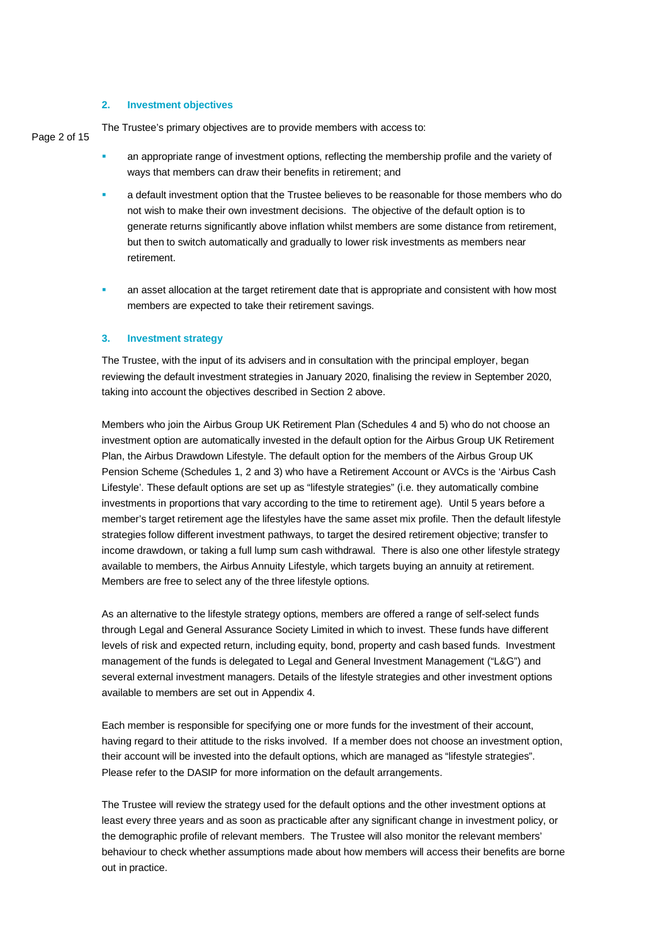### **2. Investment objectives**

Page 2 of 15 The Trustee's primary objectives are to provide members with access to:

- an appropriate range of investment options, reflecting the membership profile and the variety of ways that members can draw their benefits in retirement; and
	- a default investment option that the Trustee believes to be reasonable for those members who do not wish to make their own investment decisions. The objective of the default option is to generate returns significantly above inflation whilst members are some distance from retirement, but then to switch automatically and gradually to lower risk investments as members near retirement.
	- **an asset allocation at the target retirement date that is appropriate and consistent with how most** members are expected to take their retirement savings.

### **3. Investment strategy**

The Trustee, with the input of its advisers and in consultation with the principal employer, began reviewing the default investment strategies in January 2020, finalising the review in September 2020, taking into account the objectives described in Section 2 above.

Members who join the Airbus Group UK Retirement Plan (Schedules 4 and 5) who do not choose an investment option are automatically invested in the default option for the Airbus Group UK Retirement Plan, the Airbus Drawdown Lifestyle. The default option for the members of the Airbus Group UK Pension Scheme (Schedules 1, 2 and 3) who have a Retirement Account or AVCs is the 'Airbus Cash Lifestyle'. These default options are set up as "lifestyle strategies" (i.e. they automatically combine investments in proportions that vary according to the time to retirement age). Until 5 years before a member's target retirement age the lifestyles have the same asset mix profile. Then the default lifestyle strategies follow different investment pathways, to target the desired retirement objective; transfer to income drawdown, or taking a full lump sum cash withdrawal. There is also one other lifestyle strategy available to members, the Airbus Annuity Lifestyle, which targets buying an annuity at retirement. Members are free to select any of the three lifestyle options.

As an alternative to the lifestyle strategy options, members are offered a range of self-select funds through Legal and General Assurance Society Limited in which to invest. These funds have different levels of risk and expected return, including equity, bond, property and cash based funds. Investment management of the funds is delegated to Legal and General Investment Management ("L&G") and several external investment managers. Details of the lifestyle strategies and other investment options available to members are set out in Appendix 4.

Each member is responsible for specifying one or more funds for the investment of their account, having regard to their attitude to the risks involved. If a member does not choose an investment option, their account will be invested into the default options, which are managed as "lifestyle strategies". Please refer to the DASIP for more information on the default arrangements.

The Trustee will review the strategy used for the default options and the other investment options at least every three years and as soon as practicable after any significant change in investment policy, or the demographic profile of relevant members. The Trustee will also monitor the relevant members' behaviour to check whether assumptions made about how members will access their benefits are borne out in practice.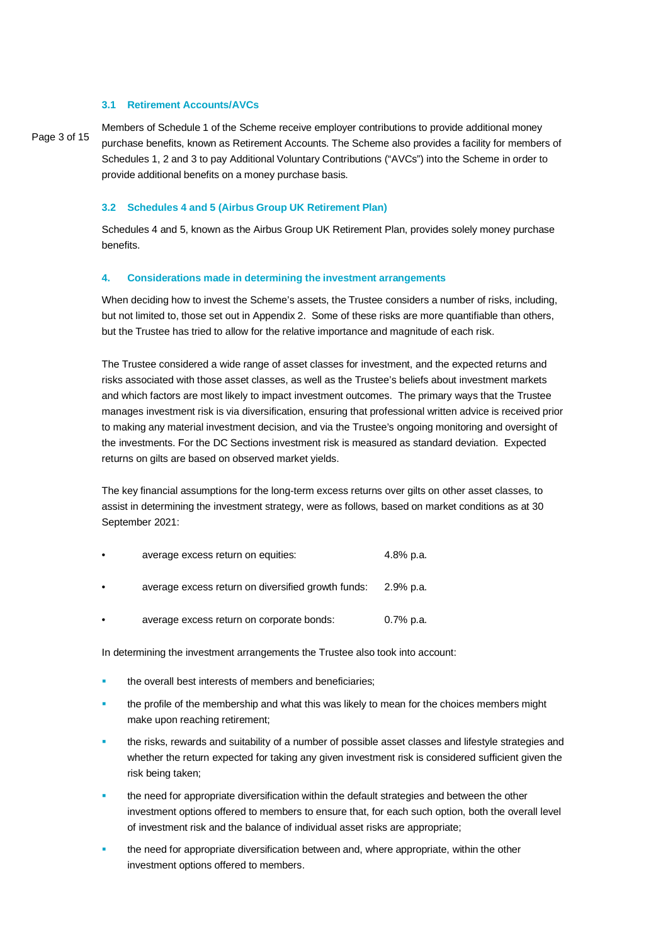### **3.1 Retirement Accounts/AVCs**

Page 3 of 15

Members of Schedule 1 of the Scheme receive employer contributions to provide additional money purchase benefits, known as Retirement Accounts. The Scheme also provides a facility for members of Schedules 1, 2 and 3 to pay Additional Voluntary Contributions ("AVCs") into the Scheme in order to provide additional benefits on a money purchase basis.

### **3.2 Schedules 4 and 5 (Airbus Group UK Retirement Plan)**

Schedules 4 and 5, known as the Airbus Group UK Retirement Plan, provides solely money purchase benefits.

### **4. Considerations made in determining the investment arrangements**

When deciding how to invest the Scheme's assets, the Trustee considers a number of risks, including, but not limited to, those set out in Appendix 2. Some of these risks are more quantifiable than others, but the Trustee has tried to allow for the relative importance and magnitude of each risk.

The Trustee considered a wide range of asset classes for investment, and the expected returns and risks associated with those asset classes, as well as the Trustee's beliefs about investment markets and which factors are most likely to impact investment outcomes. The primary ways that the Trustee manages investment risk is via diversification, ensuring that professional written advice is received prior to making any material investment decision, and via the Trustee's ongoing monitoring and oversight of the investments. For the DC Sections investment risk is measured as standard deviation. Expected returns on gilts are based on observed market yields.

The key financial assumptions for the long-term excess returns over gilts on other asset classes, to assist in determining the investment strategy, were as follows, based on market conditions as at 30 September 2021:

| average excess return on equities: | 4.8% p.a. |  |
|------------------------------------|-----------|--|
|                                    |           |  |

- average excess return on diversified growth funds: 2.9% p.a.
- average excess return on corporate bonds: 0.7% p.a.

In determining the investment arrangements the Trustee also took into account:

- the overall best interests of members and beneficiaries;
- the profile of the membership and what this was likely to mean for the choices members might make upon reaching retirement;
- the risks, rewards and suitability of a number of possible asset classes and lifestyle strategies and whether the return expected for taking any given investment risk is considered sufficient given the risk being taken;
- the need for appropriate diversification within the default strategies and between the other investment options offered to members to ensure that, for each such option, both the overall level of investment risk and the balance of individual asset risks are appropriate;
- the need for appropriate diversification between and, where appropriate, within the other investment options offered to members.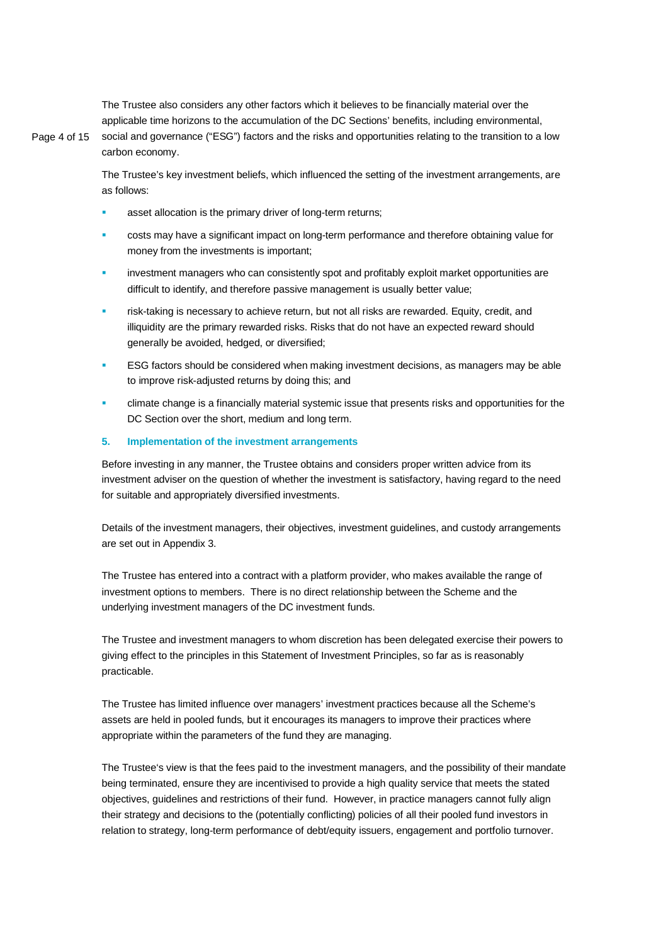The Trustee also considers any other factors which it believes to be financially material over the applicable time horizons to the accumulation of the DC Sections' benefits, including environmental,

Page 4 of 15

social and governance ("ESG") factors and the risks and opportunities relating to the transition to a low carbon economy.

The Trustee's key investment beliefs, which influenced the setting of the investment arrangements, are as follows:

- asset allocation is the primary driver of long-term returns;
- costs may have a significant impact on long-term performance and therefore obtaining value for money from the investments is important;
- investment managers who can consistently spot and profitably exploit market opportunities are difficult to identify, and therefore passive management is usually better value;
- risk-taking is necessary to achieve return, but not all risks are rewarded. Equity, credit, and illiquidity are the primary rewarded risks. Risks that do not have an expected reward should generally be avoided, hedged, or diversified;
- ESG factors should be considered when making investment decisions, as managers may be able to improve risk-adjusted returns by doing this; and
- climate change is a financially material systemic issue that presents risks and opportunities for the DC Section over the short, medium and long term.

### **5. Implementation of the investment arrangements**

Before investing in any manner, the Trustee obtains and considers proper written advice from its investment adviser on the question of whether the investment is satisfactory, having regard to the need for suitable and appropriately diversified investments.

Details of the investment managers, their objectives, investment guidelines, and custody arrangements are set out in Appendix 3.

The Trustee has entered into a contract with a platform provider, who makes available the range of investment options to members. There is no direct relationship between the Scheme and the underlying investment managers of the DC investment funds.

The Trustee and investment managers to whom discretion has been delegated exercise their powers to giving effect to the principles in this Statement of Investment Principles, so far as is reasonably practicable.

The Trustee has limited influence over managers' investment practices because all the Scheme's assets are held in pooled funds, but it encourages its managers to improve their practices where appropriate within the parameters of the fund they are managing.

The Trustee's view is that the fees paid to the investment managers, and the possibility of their mandate being terminated, ensure they are incentivised to provide a high quality service that meets the stated objectives, guidelines and restrictions of their fund. However, in practice managers cannot fully align their strategy and decisions to the (potentially conflicting) policies of all their pooled fund investors in relation to strategy, long-term performance of debt/equity issuers, engagement and portfolio turnover.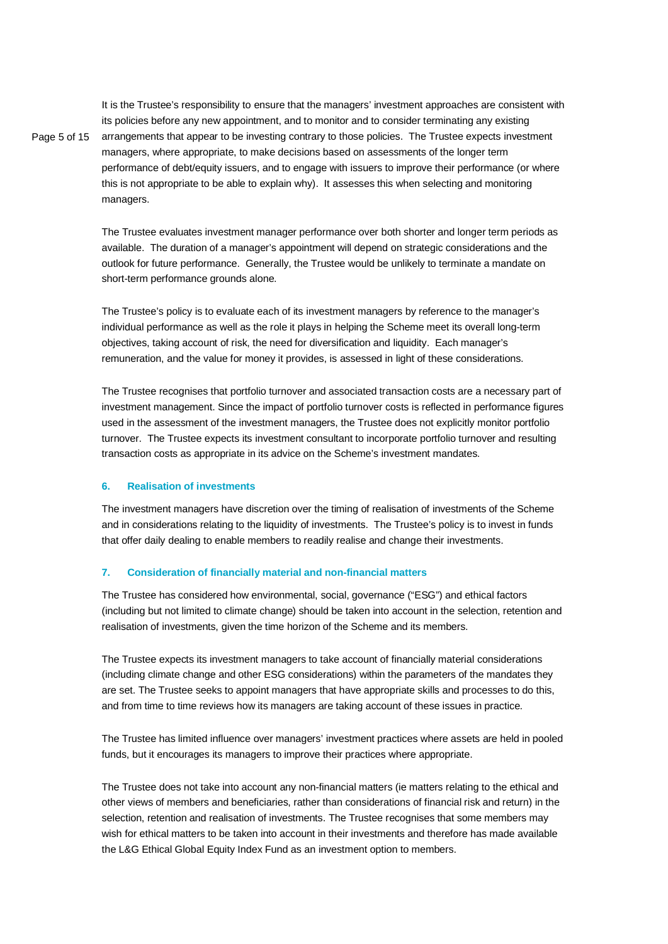It is the Trustee's responsibility to ensure that the managers' investment approaches are consistent with its policies before any new appointment, and to monitor and to consider terminating any existing arrangements that appear to be investing contrary to those policies. The Trustee expects investment managers, where appropriate, to make decisions based on assessments of the longer term performance of debt/equity issuers, and to engage with issuers to improve their performance (or where this is not appropriate to be able to explain why). It assesses this when selecting and monitoring managers.

The Trustee evaluates investment manager performance over both shorter and longer term periods as available. The duration of a manager's appointment will depend on strategic considerations and the outlook for future performance. Generally, the Trustee would be unlikely to terminate a mandate on short-term performance grounds alone.

The Trustee's policy is to evaluate each of its investment managers by reference to the manager's individual performance as well as the role it plays in helping the Scheme meet its overall long-term objectives, taking account of risk, the need for diversification and liquidity. Each manager's remuneration, and the value for money it provides, is assessed in light of these considerations.

The Trustee recognises that portfolio turnover and associated transaction costs are a necessary part of investment management. Since the impact of portfolio turnover costs is reflected in performance figures used in the assessment of the investment managers, the Trustee does not explicitly monitor portfolio turnover. The Trustee expects its investment consultant to incorporate portfolio turnover and resulting transaction costs as appropriate in its advice on the Scheme's investment mandates.

### **6. Realisation of investments**

Page 5 of 15

The investment managers have discretion over the timing of realisation of investments of the Scheme and in considerations relating to the liquidity of investments. The Trustee's policy is to invest in funds that offer daily dealing to enable members to readily realise and change their investments.

### **7. Consideration of financially material and non-financial matters**

The Trustee has considered how environmental, social, governance ("ESG") and ethical factors (including but not limited to climate change) should be taken into account in the selection, retention and realisation of investments, given the time horizon of the Scheme and its members.

The Trustee expects its investment managers to take account of financially material considerations (including climate change and other ESG considerations) within the parameters of the mandates they are set. The Trustee seeks to appoint managers that have appropriate skills and processes to do this, and from time to time reviews how its managers are taking account of these issues in practice.

The Trustee has limited influence over managers' investment practices where assets are held in pooled funds, but it encourages its managers to improve their practices where appropriate.

The Trustee does not take into account any non-financial matters (ie matters relating to the ethical and other views of members and beneficiaries, rather than considerations of financial risk and return) in the selection, retention and realisation of investments. The Trustee recognises that some members may wish for ethical matters to be taken into account in their investments and therefore has made available the L&G Ethical Global Equity Index Fund as an investment option to members.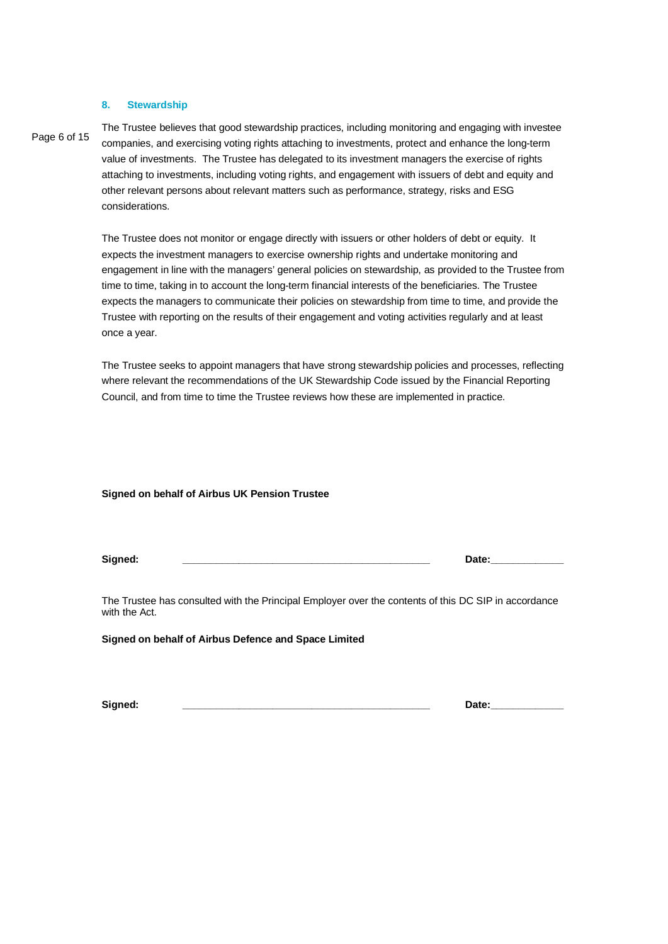### **8. Stewardship**

### Page 6 of 15

The Trustee believes that good stewardship practices, including monitoring and engaging with investee companies, and exercising voting rights attaching to investments, protect and enhance the long-term value of investments. The Trustee has delegated to its investment managers the exercise of rights attaching to investments, including voting rights, and engagement with issuers of debt and equity and other relevant persons about relevant matters such as performance, strategy, risks and ESG considerations.

The Trustee does not monitor or engage directly with issuers or other holders of debt or equity. It expects the investment managers to exercise ownership rights and undertake monitoring and engagement in line with the managers' general policies on stewardship, as provided to the Trustee from time to time, taking in to account the long-term financial interests of the beneficiaries. The Trustee expects the managers to communicate their policies on stewardship from time to time, and provide the Trustee with reporting on the results of their engagement and voting activities regularly and at least once a year.

The Trustee seeks to appoint managers that have strong stewardship policies and processes, reflecting where relevant the recommendations of the UK Stewardship Code issued by the Financial Reporting Council, and from time to time the Trustee reviews how these are implemented in practice.

### **Signed on behalf of Airbus UK Pension Trustee**

**Signed: \_\_\_\_\_\_\_\_\_\_\_\_\_\_\_\_\_\_\_\_\_\_\_\_\_\_\_\_\_\_\_\_\_\_\_\_\_\_\_\_\_\_\_\_ Date:\_\_\_\_\_\_\_\_\_\_\_\_\_**

The Trustee has consulted with the Principal Employer over the contents of this DC SIP in accordance with the Act.

**Signed on behalf of Airbus Defence and Space Limited**

**Signed: \_\_\_\_\_\_\_\_\_\_\_\_\_\_\_\_\_\_\_\_\_\_\_\_\_\_\_\_\_\_\_\_\_\_\_\_\_\_\_\_\_\_\_\_ Date:\_\_\_\_\_\_\_\_\_\_\_\_\_**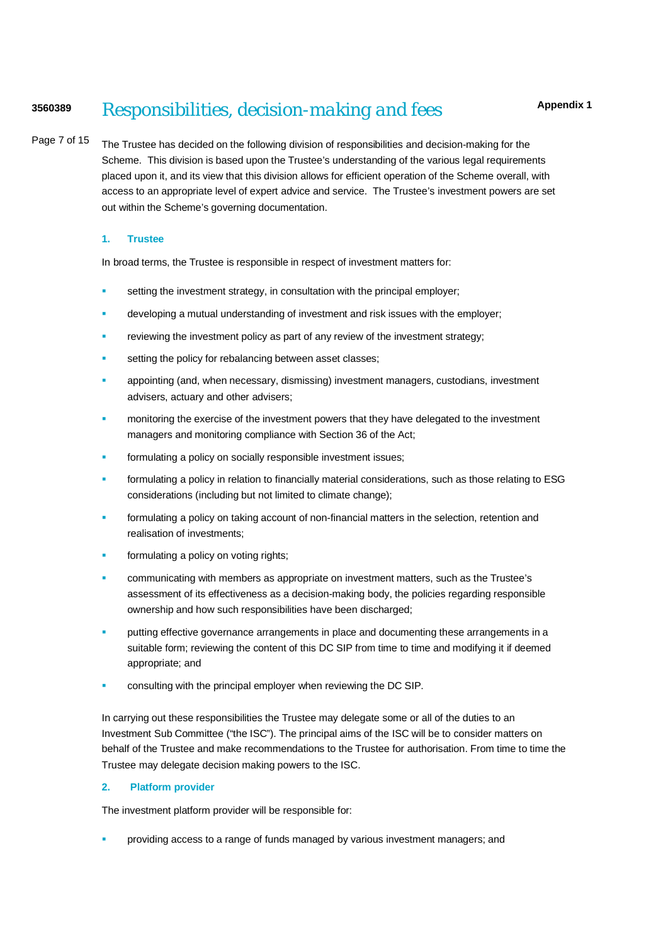## **<sup>3560389</sup>** *Responsibilities, decision-making and fees*

Page 7 of 15 The Trustee has decided on the following division of responsibilities and decision-making for the Scheme. This division is based upon the Trustee's understanding of the various legal requirements placed upon it, and its view that this division allows for efficient operation of the Scheme overall, with access to an appropriate level of expert advice and service. The Trustee's investment powers are set out within the Scheme's governing documentation.

### **1. Trustee**

In broad terms, the Trustee is responsible in respect of investment matters for:

- **setting the investment strategy, in consultation with the principal employer;**
- developing a mutual understanding of investment and risk issues with the employer;
- reviewing the investment policy as part of any review of the investment strategy;
- setting the policy for rebalancing between asset classes;
- appointing (and, when necessary, dismissing) investment managers, custodians, investment advisers, actuary and other advisers;
- monitoring the exercise of the investment powers that they have delegated to the investment managers and monitoring compliance with Section 36 of the Act;
- formulating a policy on socially responsible investment issues;
- formulating a policy in relation to financially material considerations, such as those relating to ESG considerations (including but not limited to climate change);
- formulating a policy on taking account of non-financial matters in the selection, retention and realisation of investments;
- formulating a policy on voting rights;
- communicating with members as appropriate on investment matters, such as the Trustee's assessment of its effectiveness as a decision-making body, the policies regarding responsible ownership and how such responsibilities have been discharged;
- putting effective governance arrangements in place and documenting these arrangements in a suitable form; reviewing the content of this DC SIP from time to time and modifying it if deemed appropriate; and
- consulting with the principal employer when reviewing the DC SIP.

In carrying out these responsibilities the Trustee may delegate some or all of the duties to an Investment Sub Committee ("the ISC"). The principal aims of the ISC will be to consider matters on behalf of the Trustee and make recommendations to the Trustee for authorisation. From time to time the Trustee may delegate decision making powers to the ISC.

### **2. Platform provider**

The investment platform provider will be responsible for:

providing access to a range of funds managed by various investment managers; and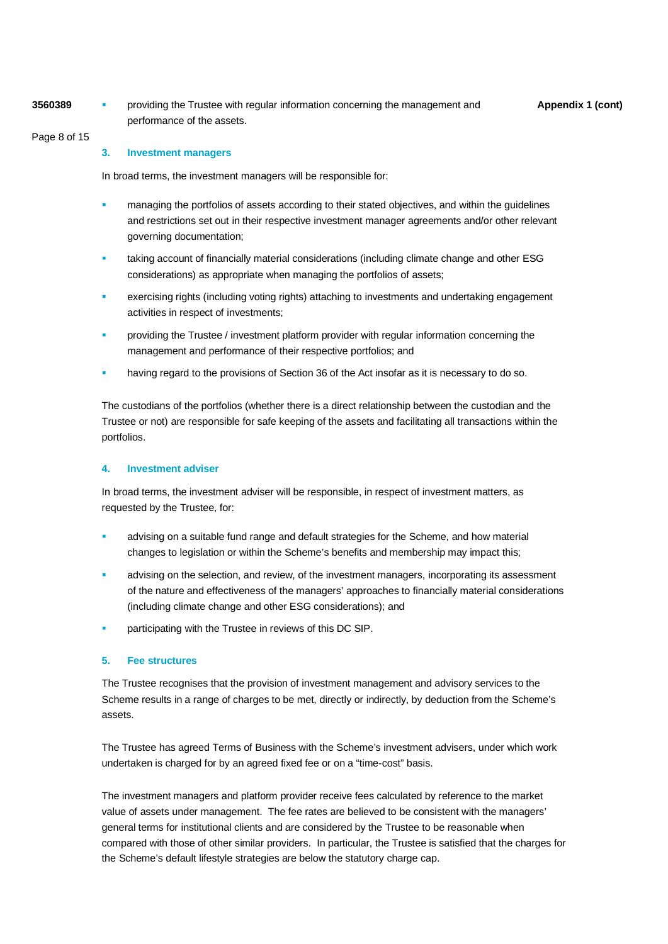**3560389 Appendix 1** (cont) **Appendix 1** (cont) **Appendix 1** (cont) performance of the assets.

Page 8 of 15

### **3. Investment managers**

In broad terms, the investment managers will be responsible for:

- managing the portfolios of assets according to their stated objectives, and within the guidelines and restrictions set out in their respective investment manager agreements and/or other relevant governing documentation;
- taking account of financially material considerations (including climate change and other ESG considerations) as appropriate when managing the portfolios of assets;
- exercising rights (including voting rights) attaching to investments and undertaking engagement activities in respect of investments;
- providing the Trustee / investment platform provider with regular information concerning the management and performance of their respective portfolios; and
- having regard to the provisions of Section 36 of the Act insofar as it is necessary to do so.

The custodians of the portfolios (whether there is a direct relationship between the custodian and the Trustee or not) are responsible for safe keeping of the assets and facilitating all transactions within the portfolios.

### **4. Investment adviser**

In broad terms, the investment adviser will be responsible, in respect of investment matters, as requested by the Trustee, for:

- advising on a suitable fund range and default strategies for the Scheme, and how material changes to legislation or within the Scheme's benefits and membership may impact this;
- advising on the selection, and review, of the investment managers, incorporating its assessment of the nature and effectiveness of the managers' approaches to financially material considerations (including climate change and other ESG considerations); and
- participating with the Trustee in reviews of this DC SIP.

### **5. Fee structures**

The Trustee recognises that the provision of investment management and advisory services to the Scheme results in a range of charges to be met, directly or indirectly, by deduction from the Scheme's assets.

The Trustee has agreed Terms of Business with the Scheme's investment advisers, under which work undertaken is charged for by an agreed fixed fee or on a "time-cost" basis.

The investment managers and platform provider receive fees calculated by reference to the market value of assets under management. The fee rates are believed to be consistent with the managers' general terms for institutional clients and are considered by the Trustee to be reasonable when compared with those of other similar providers. In particular, the Trustee is satisfied that the charges for the Scheme's default lifestyle strategies are below the statutory charge cap.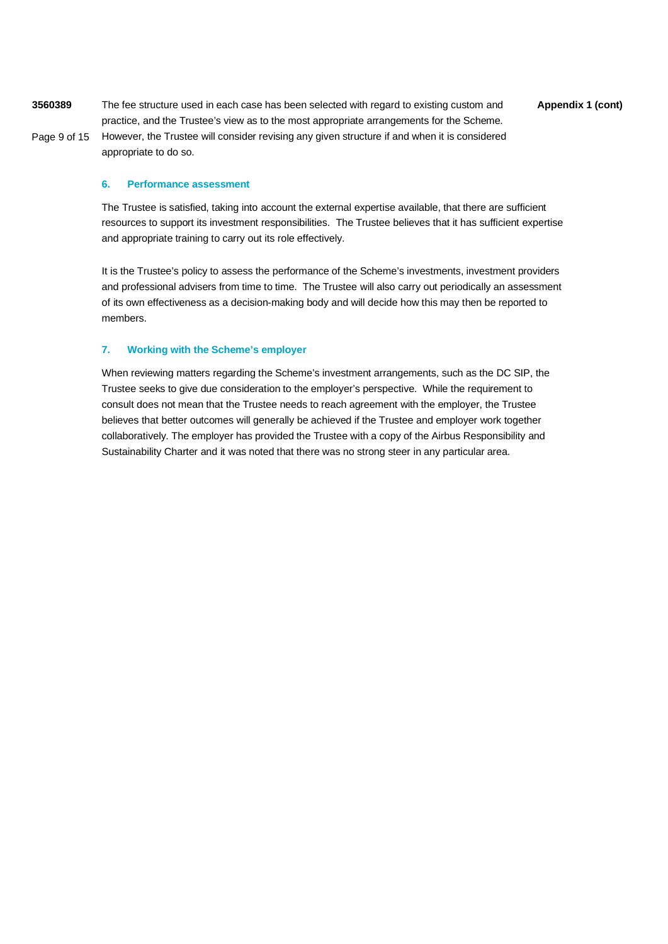**3560389 Appendix 1 (cont)** The fee structure used in each case has been selected with regard to existing custom and Page 9 of 15 practice, and the Trustee's view as to the most appropriate arrangements for the Scheme. However, the Trustee will consider revising any given structure if and when it is considered

### **6. Performance assessment**

appropriate to do so.

The Trustee is satisfied, taking into account the external expertise available, that there are sufficient resources to support its investment responsibilities. The Trustee believes that it has sufficient expertise and appropriate training to carry out its role effectively.

It is the Trustee's policy to assess the performance of the Scheme's investments, investment providers and professional advisers from time to time. The Trustee will also carry out periodically an assessment of its own effectiveness as a decision-making body and will decide how this may then be reported to members.

### **7. Working with the Scheme's employer**

When reviewing matters regarding the Scheme's investment arrangements, such as the DC SIP, the Trustee seeks to give due consideration to the employer's perspective. While the requirement to consult does not mean that the Trustee needs to reach agreement with the employer, the Trustee believes that better outcomes will generally be achieved if the Trustee and employer work together collaboratively. The employer has provided the Trustee with a copy of the Airbus Responsibility and Sustainability Charter and it was noted that there was no strong steer in any particular area.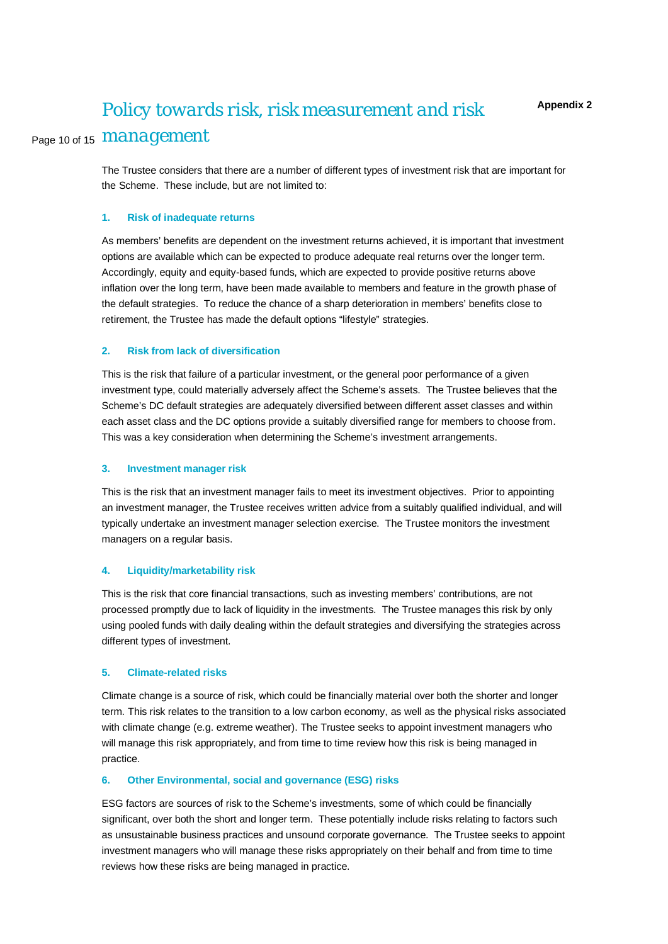# Page 10 of 15 *management Policy towards risk, risk measurement and risk*

The Trustee considers that there are a number of different types of investment risk that are important for the Scheme. These include, but are not limited to:

### **1. Risk of inadequate returns**

As members' benefits are dependent on the investment returns achieved, it is important that investment options are available which can be expected to produce adequate real returns over the longer term. Accordingly, equity and equity-based funds, which are expected to provide positive returns above inflation over the long term, have been made available to members and feature in the growth phase of the default strategies. To reduce the chance of a sharp deterioration in members' benefits close to retirement, the Trustee has made the default options "lifestyle" strategies.

### **2. Risk from lack of diversification**

This is the risk that failure of a particular investment, or the general poor performance of a given investment type, could materially adversely affect the Scheme's assets. The Trustee believes that the Scheme's DC default strategies are adequately diversified between different asset classes and within each asset class and the DC options provide a suitably diversified range for members to choose from. This was a key consideration when determining the Scheme's investment arrangements.

#### **3. Investment manager risk**

This is the risk that an investment manager fails to meet its investment objectives. Prior to appointing an investment manager, the Trustee receives written advice from a suitably qualified individual, and will typically undertake an investment manager selection exercise. The Trustee monitors the investment managers on a regular basis.

### **4. Liquidity/marketability risk**

This is the risk that core financial transactions, such as investing members' contributions, are not processed promptly due to lack of liquidity in the investments. The Trustee manages this risk by only using pooled funds with daily dealing within the default strategies and diversifying the strategies across different types of investment.

### **5. Climate-related risks**

Climate change is a source of risk, which could be financially material over both the shorter and longer term. This risk relates to the transition to a low carbon economy, as well as the physical risks associated with climate change (e.g. extreme weather). The Trustee seeks to appoint investment managers who will manage this risk appropriately, and from time to time review how this risk is being managed in practice.

### **6. Other Environmental, social and governance (ESG) risks**

ESG factors are sources of risk to the Scheme's investments, some of which could be financially significant, over both the short and longer term. These potentially include risks relating to factors such as unsustainable business practices and unsound corporate governance. The Trustee seeks to appoint investment managers who will manage these risks appropriately on their behalf and from time to time reviews how these risks are being managed in practice.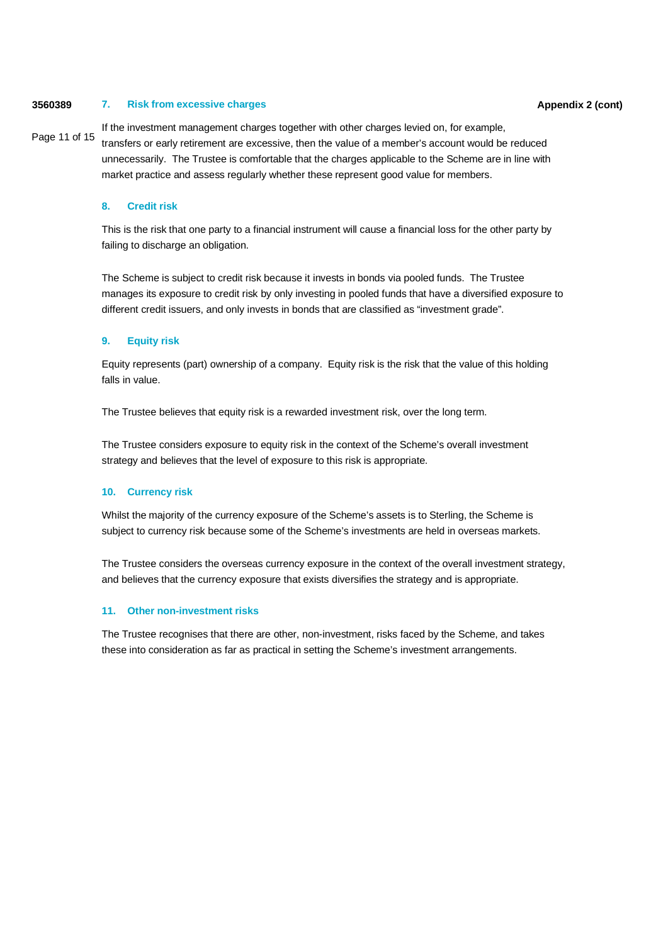### **3560389 Appendix 2 (cont) 7. Risk from excessive charges**

Page 11 of 15 If the investment management charges together with other charges levied on, for example, transfers or early retirement are excessive, then the value of a member's account would be reduced unnecessarily. The Trustee is comfortable that the charges applicable to the Scheme are in line with market practice and assess regularly whether these represent good value for members.

### **8. Credit risk**

This is the risk that one party to a financial instrument will cause a financial loss for the other party by failing to discharge an obligation.

The Scheme is subject to credit risk because it invests in bonds via pooled funds. The Trustee manages its exposure to credit risk by only investing in pooled funds that have a diversified exposure to different credit issuers, and only invests in bonds that are classified as "investment grade".

### **9. Equity risk**

Equity represents (part) ownership of a company. Equity risk is the risk that the value of this holding falls in value.

The Trustee believes that equity risk is a rewarded investment risk, over the long term.

The Trustee considers exposure to equity risk in the context of the Scheme's overall investment strategy and believes that the level of exposure to this risk is appropriate.

### **10. Currency risk**

Whilst the majority of the currency exposure of the Scheme's assets is to Sterling, the Scheme is subject to currency risk because some of the Scheme's investments are held in overseas markets.

The Trustee considers the overseas currency exposure in the context of the overall investment strategy, and believes that the currency exposure that exists diversifies the strategy and is appropriate.

### **11. Other non-investment risks**

The Trustee recognises that there are other, non-investment, risks faced by the Scheme, and takes these into consideration as far as practical in setting the Scheme's investment arrangements.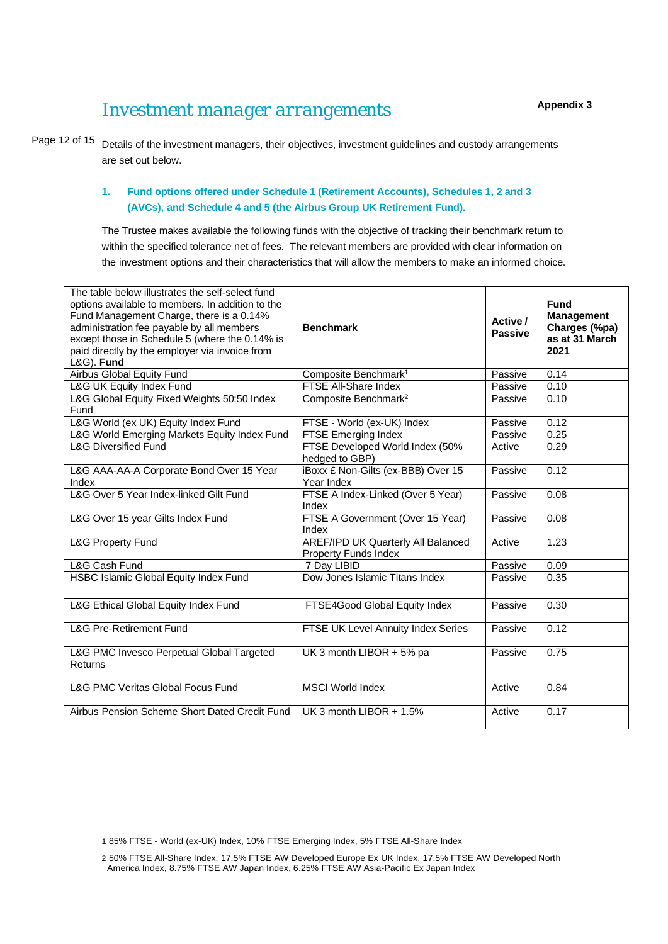### *Investment manager arrangements*

Page 12 of 15 Details of the investment managers, their objectives, investment guidelines and custody arrangements are set out below.

### **1. Fund options offered under Schedule 1 (Retirement Accounts), Schedules 1, 2 and 3 (AVCs), and Schedule 4 and 5 (the Airbus Group UK Retirement Fund).**

The Trustee makes available the following funds with the objective of tracking their benchmark return to within the specified tolerance net of fees. The relevant members are provided with clear information on the investment options and their characteristics that will allow the members to make an informed choice.

| The table below illustrates the self-select fund<br>options available to members. In addition to the<br>Fund Management Charge, there is a 0.14%<br>administration fee payable by all members<br>except those in Schedule 5 (where the 0.14% is<br>paid directly by the employer via invoice from<br>L&G). Fund | <b>Benchmark</b>                                                  | Active /<br><b>Passive</b> | <b>Fund</b><br><b>Management</b><br>Charges (%pa)<br>as at 31 March<br>2021 |
|-----------------------------------------------------------------------------------------------------------------------------------------------------------------------------------------------------------------------------------------------------------------------------------------------------------------|-------------------------------------------------------------------|----------------------------|-----------------------------------------------------------------------------|
| Airbus Global Equity Fund                                                                                                                                                                                                                                                                                       | Composite Benchmark <sup>1</sup>                                  | Passive                    | 0.14                                                                        |
| L&G UK Equity Index Fund                                                                                                                                                                                                                                                                                        | FTSE All-Share Index                                              | Passive                    | 0.10                                                                        |
| L&G Global Equity Fixed Weights 50:50 Index<br>Fund                                                                                                                                                                                                                                                             | Composite Benchmark <sup>2</sup>                                  | Passive                    | 0.10                                                                        |
| L&G World (ex UK) Equity Index Fund                                                                                                                                                                                                                                                                             | FTSE - World (ex-UK) Index                                        | Passive                    | 0.12                                                                        |
| L&G World Emerging Markets Equity Index Fund                                                                                                                                                                                                                                                                    | FTSE Emerging Index                                               | Passive                    | 0.25                                                                        |
| <b>L&amp;G Diversified Fund</b>                                                                                                                                                                                                                                                                                 | FTSE Developed World Index (50%<br>hedged to GBP)                 | Active                     | 0.29                                                                        |
| L&G AAA-AA-A Corporate Bond Over 15 Year<br>Index                                                                                                                                                                                                                                                               | iBoxx £ Non-Gilts (ex-BBB) Over 15<br>Year Index                  | Passive                    | 0.12                                                                        |
| L&G Over 5 Year Index-linked Gilt Fund                                                                                                                                                                                                                                                                          | FTSE A Index-Linked (Over 5 Year)<br>Index                        | Passive                    | 0.08                                                                        |
| L&G Over 15 year Gilts Index Fund                                                                                                                                                                                                                                                                               | FTSE A Government (Over 15 Year)<br>Index                         | Passive                    | 0.08                                                                        |
| <b>L&amp;G Property Fund</b>                                                                                                                                                                                                                                                                                    | <b>AREF/IPD UK Quarterly All Balanced</b><br>Property Funds Index | Active                     | 1.23                                                                        |
| L&G Cash Fund                                                                                                                                                                                                                                                                                                   | 7 Day LIBID                                                       | Passive                    | 0.09                                                                        |
| HSBC Islamic Global Equity Index Fund                                                                                                                                                                                                                                                                           | Dow Jones Islamic Titans Index                                    | Passive                    | 0.35                                                                        |
| L&G Ethical Global Equity Index Fund                                                                                                                                                                                                                                                                            | FTSE4Good Global Equity Index                                     | Passive                    | 0.30                                                                        |
| <b>L&amp;G Pre-Retirement Fund</b>                                                                                                                                                                                                                                                                              | FTSE UK Level Annuity Index Series                                | Passive                    | 0.12                                                                        |
| L&G PMC Invesco Perpetual Global Targeted<br>Returns                                                                                                                                                                                                                                                            | UK 3 month LIBOR + 5% pa                                          | Passive                    | 0.75                                                                        |
| <b>L&amp;G PMC Veritas Global Focus Fund</b>                                                                                                                                                                                                                                                                    | <b>MSCI World Index</b>                                           | Active                     | 0.84                                                                        |
| Airbus Pension Scheme Short Dated Credit Fund                                                                                                                                                                                                                                                                   | UK 3 month LIBOR $+ 1.5%$                                         | Active                     | 0.17                                                                        |

<sup>1</sup> 85% FTSE - World (ex-UK) Index, 10% FTSE Emerging Index, 5% FTSE All-Share Index

<sup>2</sup> 50% FTSE All-Share Index, 17.5% FTSE AW Developed Europe Ex UK Index, 17.5% FTSE AW Developed North America Index, 8.75% FTSE AW Japan Index, 6.25% FTSE AW Asia-Pacific Ex Japan Index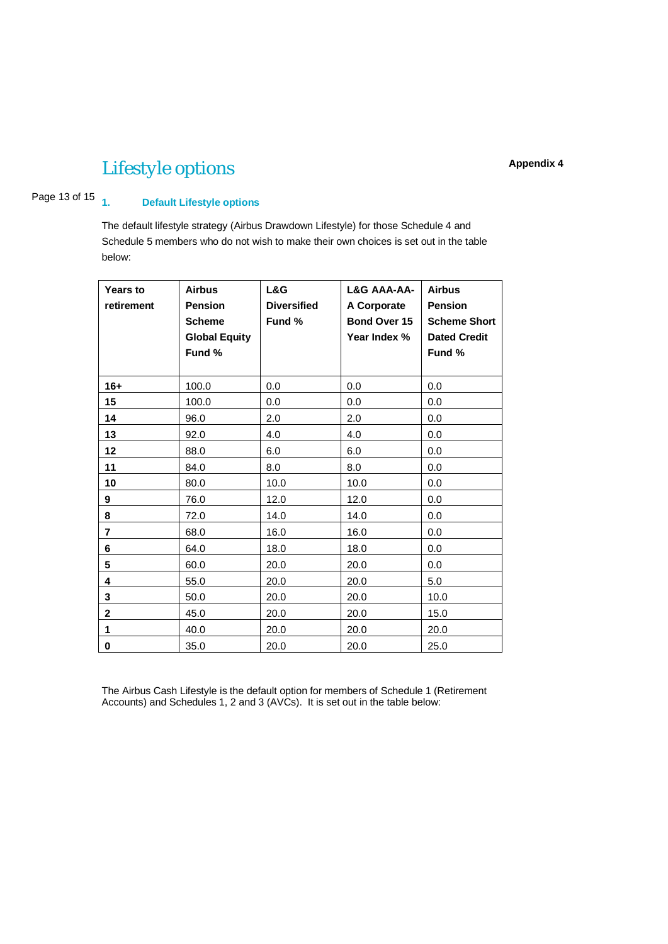# *Lifestyle options*

### Page 13 of 15 1. **1. Default Lifestyle options**

The default lifestyle strategy (Airbus Drawdown Lifestyle) for those Schedule 4 and Schedule 5 members who do not wish to make their own choices is set out in the table below:

| <b>Years to</b><br>retirement | <b>Airbus</b><br><b>Pension</b><br><b>Scheme</b><br><b>Global Equity</b><br>Fund % | L&G<br><b>Diversified</b><br>Fund % | L&G AAA-AA-<br>A Corporate<br>Bond Over 15<br>Year Index % | <b>Airbus</b><br><b>Pension</b><br><b>Scheme Short</b><br><b>Dated Credit</b><br>Fund % |
|-------------------------------|------------------------------------------------------------------------------------|-------------------------------------|------------------------------------------------------------|-----------------------------------------------------------------------------------------|
| $16+$                         | 100.0                                                                              | 0.0                                 | 0.0                                                        | 0.0                                                                                     |
| 15                            | 100.0                                                                              | 0.0                                 | 0.0                                                        | 0.0                                                                                     |
| 14                            | 96.0                                                                               | 2.0                                 | 2.0                                                        | 0.0                                                                                     |
| 13                            | 92.0                                                                               | 4.0                                 | 4.0                                                        | 0.0                                                                                     |
| 12                            | 88.0                                                                               | 6.0                                 | 6.0                                                        | 0.0                                                                                     |
| 11                            | 84.0                                                                               | 8.0                                 | 8.0                                                        | 0.0                                                                                     |
| 10                            | 80.0                                                                               | 10.0                                | 10.0                                                       | 0.0                                                                                     |
| 9                             | 76.0                                                                               | 12.0                                | 12.0                                                       | 0.0                                                                                     |
| 8                             | 72.0                                                                               | 14.0                                | 14.0                                                       | 0.0                                                                                     |
| $\overline{7}$                | 68.0                                                                               | 16.0                                | 16.0                                                       | 0.0                                                                                     |
| 6                             | 64.0                                                                               | 18.0                                | 18.0                                                       | 0.0                                                                                     |
| 5                             | 60.0                                                                               | 20.0                                | 20.0                                                       | 0.0                                                                                     |
| 4                             | 55.0                                                                               | 20.0                                | 20.0                                                       | 5.0                                                                                     |
| 3                             | 50.0                                                                               | 20.0                                | 20.0                                                       | 10.0                                                                                    |
| $\mathbf 2$                   | 45.0                                                                               | 20.0                                | 20.0                                                       | 15.0                                                                                    |
| 1                             | 40.0                                                                               | 20.0                                | 20.0                                                       | 20.0                                                                                    |
| 0                             | 35.0                                                                               | 20.0                                | 20.0                                                       | 25.0                                                                                    |

The Airbus Cash Lifestyle is the default option for members of Schedule 1 (Retirement Accounts) and Schedules 1, 2 and 3 (AVCs). It is set out in the table below: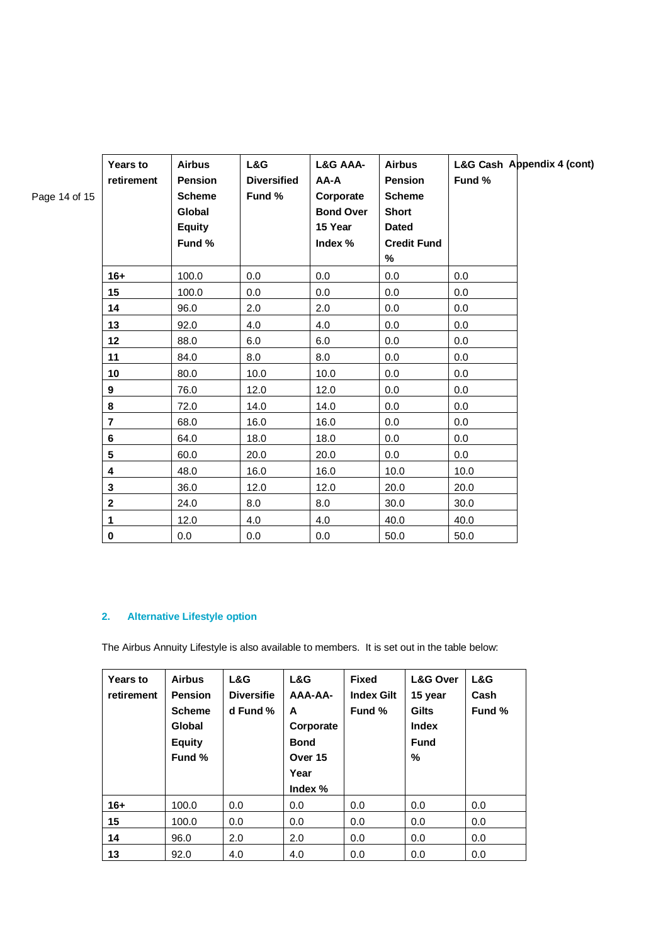| Page 14 of 15 | <b>Years to</b><br>retirement | <b>Airbus</b><br><b>Pension</b><br><b>Scheme</b><br>Global<br><b>Equity</b><br>Fund % | L&G<br><b>Diversified</b><br>Fund % | L&G AAA-<br>A-AA<br>Corporate<br><b>Bond Over</b><br>15 Year<br>Index % | <b>Airbus</b><br><b>Pension</b><br><b>Scheme</b><br><b>Short</b><br><b>Dated</b><br><b>Credit Fund</b><br>% | L&G Cash Appendix 4 (cont)<br>Fund % |
|---------------|-------------------------------|---------------------------------------------------------------------------------------|-------------------------------------|-------------------------------------------------------------------------|-------------------------------------------------------------------------------------------------------------|--------------------------------------|
|               | $16+$                         | 100.0                                                                                 | 0.0                                 | 0.0                                                                     | 0.0                                                                                                         | 0.0                                  |
|               | 15                            | 100.0                                                                                 | 0.0                                 | 0.0                                                                     | 0.0                                                                                                         | 0.0                                  |
|               | 14                            | 96.0                                                                                  | 2.0                                 | 2.0                                                                     | 0.0                                                                                                         | 0.0                                  |
|               | 13                            | 92.0                                                                                  | 4.0                                 | 4.0                                                                     | 0.0                                                                                                         | 0.0                                  |
|               | 12                            | 88.0                                                                                  | 6.0                                 | 6.0                                                                     | 0.0                                                                                                         | 0.0                                  |
|               | 11                            | 84.0                                                                                  | 8.0                                 | 8.0                                                                     | 0.0                                                                                                         | 0.0                                  |
|               | 10                            | 80.0                                                                                  | 10.0                                | 10.0                                                                    | 0.0                                                                                                         | 0.0                                  |
|               | $\boldsymbol{9}$              | 76.0                                                                                  | 12.0                                | 12.0                                                                    | 0.0                                                                                                         | 0.0                                  |
|               | 8                             | 72.0                                                                                  | 14.0                                | 14.0                                                                    | 0.0                                                                                                         | 0.0                                  |
|               | 7                             | 68.0                                                                                  | 16.0                                | 16.0                                                                    | 0.0                                                                                                         | 0.0                                  |
|               | 6                             | 64.0                                                                                  | 18.0                                | 18.0                                                                    | 0.0                                                                                                         | 0.0                                  |
|               | 5                             | 60.0                                                                                  | 20.0                                | 20.0                                                                    | 0.0                                                                                                         | 0.0                                  |
|               | 4                             | 48.0                                                                                  | 16.0                                | 16.0                                                                    | 10.0                                                                                                        | 10.0                                 |
|               | $\mathbf 3$                   | 36.0                                                                                  | 12.0                                | 12.0                                                                    | 20.0                                                                                                        | 20.0                                 |
|               | $\boldsymbol{2}$              | 24.0                                                                                  | 8.0                                 | 8.0                                                                     | 30.0                                                                                                        | 30.0                                 |
|               | $\mathbf{1}$                  | 12.0                                                                                  | 4.0                                 | 4.0                                                                     | 40.0                                                                                                        | 40.0                                 |
|               | $\pmb{0}$                     | 0.0                                                                                   | 0.0                                 | 0.0                                                                     | 50.0                                                                                                        | 50.0                                 |

### **2. Alternative Lifestyle option**

The Airbus Annuity Lifestyle is also available to members. It is set out in the table below:

| Years to<br>retirement | <b>Airbus</b><br><b>Pension</b><br><b>Scheme</b><br>Global<br><b>Equity</b><br>Fund % | L&G<br><b>Diversifie</b><br>d Fund % | L&G<br>AAA-AA-<br>A<br>Corporate<br><b>Bond</b><br>Over 15<br>Year<br>Index % | <b>Fixed</b><br><b>Index Gilt</b><br>Fund % | <b>L&amp;G Over</b><br>15 year<br><b>Gilts</b><br>Index<br><b>Fund</b><br>% | L&G<br>Cash<br>Fund % |
|------------------------|---------------------------------------------------------------------------------------|--------------------------------------|-------------------------------------------------------------------------------|---------------------------------------------|-----------------------------------------------------------------------------|-----------------------|
| $16+$                  | 100.0                                                                                 | 0.0                                  | 0.0                                                                           | 0.0                                         | 0.0                                                                         | 0.0                   |
| 15                     | 100.0                                                                                 | 0.0                                  | 0.0                                                                           | 0.0                                         | 0.0                                                                         | 0.0                   |
| 14                     | 96.0                                                                                  | 2.0                                  | 2.0                                                                           | 0.0                                         | 0.0                                                                         | 0.0                   |
| 13                     | 92.0                                                                                  | 4.0                                  | 4.0                                                                           | 0.0                                         | 0.0                                                                         | 0.0                   |